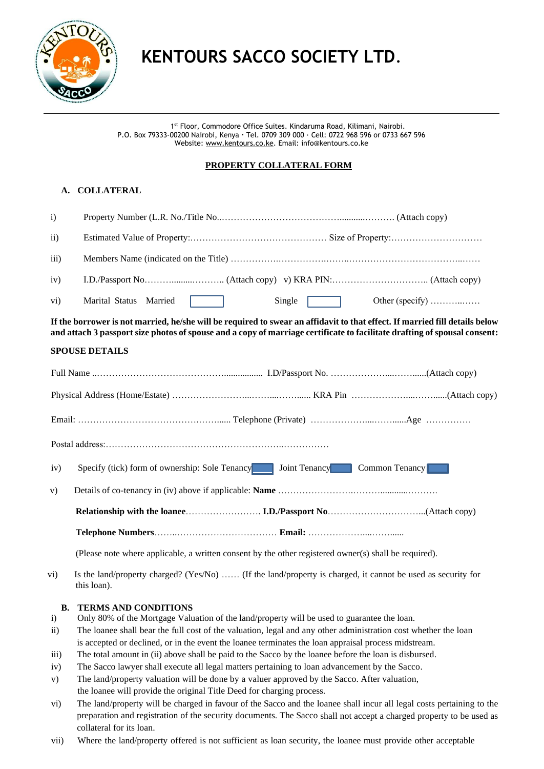

# **KENTOURS SACCO SOCIETY LTD**.

1 st Floor, Commodore Office Suites. Kindaruma Road, Kilimani, Nairobi. P.O. Box 79333-00200 Nairobi, Kenya **·** Tel. 0709 309 000 · Cell: 0722 968 596 or 0733 667 596 Website[: www.kentours.co.ke.](http://www.kentours.co.ke/) Email: info@kentours.co.ke

### **PROPERTY COLLATERAL FORM**

## **A. COLLATERAL**

| $\mathbf{i}$       |                                                                                                                                                                                                                                                                                                                     |  |  |
|--------------------|---------------------------------------------------------------------------------------------------------------------------------------------------------------------------------------------------------------------------------------------------------------------------------------------------------------------|--|--|
| $\rm ii)$          |                                                                                                                                                                                                                                                                                                                     |  |  |
| $\overline{111}$ ) |                                                                                                                                                                                                                                                                                                                     |  |  |
| iv)                |                                                                                                                                                                                                                                                                                                                     |  |  |
| $\rm vi)$          | Marital Status Married<br>Single<br>Other (specify)                                                                                                                                                                                                                                                                 |  |  |
|                    | If the borrower is not married, he/she will be required to swear an affidavit to that effect. If married fill details below<br>and attach 3 passport size photos of spouse and a copy of marriage certificate to facilitate drafting of spousal consent:                                                            |  |  |
|                    | <b>SPOUSE DETAILS</b>                                                                                                                                                                                                                                                                                               |  |  |
|                    |                                                                                                                                                                                                                                                                                                                     |  |  |
|                    |                                                                                                                                                                                                                                                                                                                     |  |  |
|                    |                                                                                                                                                                                                                                                                                                                     |  |  |
|                    |                                                                                                                                                                                                                                                                                                                     |  |  |
| iv)                | Specify (tick) form of ownership: Sole Tenancy<br>Joint Tenancy Common Tenancy                                                                                                                                                                                                                                      |  |  |
| V)                 |                                                                                                                                                                                                                                                                                                                     |  |  |
|                    |                                                                                                                                                                                                                                                                                                                     |  |  |
|                    |                                                                                                                                                                                                                                                                                                                     |  |  |
|                    | (Please note where applicable, a written consent by the other registered owner(s) shall be required).                                                                                                                                                                                                               |  |  |
|                    | $\mathcal{F}$ at $\mathcal{F}$ at $\mathcal{F}$ and $\mathcal{F}$ and $\mathcal{F}$ and $\mathcal{F}$ and $\mathcal{F}$ and $\mathcal{F}$ and $\mathcal{F}$ and $\mathcal{F}$ and $\mathcal{F}$ and $\mathcal{F}$ and $\mathcal{F}$ and $\mathcal{F}$ and $\mathcal{F}$ and $\mathcal{F}$ and $\mathcal{F}$ and $\$ |  |  |

vi) Is the land/property charged? (Yes/No) …… (If the land/property is charged, it cannot be used as security for this loan).

#### **B. TERMS AND CONDITIONS**

- i) Only 80% of the Mortgage Valuation of the land/property will be used to guarantee the loan.
- ii) The loanee shall bear the full cost of the valuation, legal and any other administration cost whether the loan is accepted or declined, or in the event the loanee terminates the loan appraisal process midstream.
- iii) The total amount in (ii) above shall be paid to the Sacco by the loanee before the loan is disbursed.
- iv) The Sacco lawyer shall execute all legal matters pertaining to loan advancement by the Sacco.
- v) The land/property valuation will be done by a valuer approved by the Sacco. After valuation, the loanee will provide the original Title Deed for charging process.
- vi) The land/property will be charged in favour of the Sacco and the loanee shall incur all legal costs pertaining to the preparation and registration of the security documents. The Sacco shall not accept a charged property to be used as collateral for its loan.
- vii) Where the land/property offered is not sufficient as loan security, the loanee must provide other acceptable